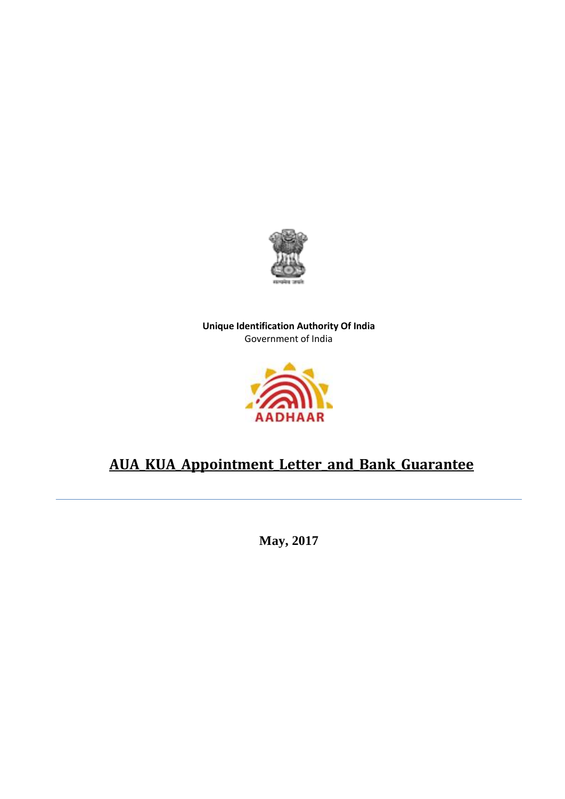

**Unique Identification Authority Of India** Government of India



## **AUA\_KUA\_Appointment\_Letter\_and\_Bank\_Guarantee**

 **May, 2017**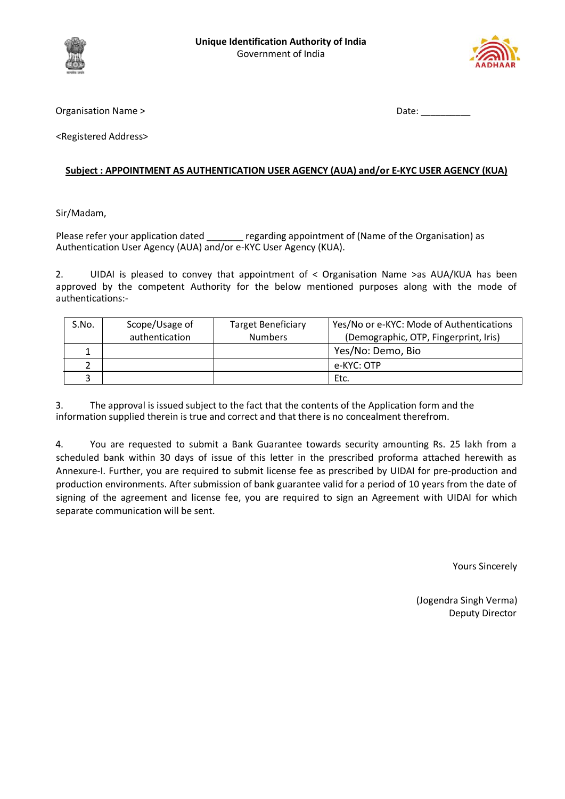



Organisation Name >  $\Box$  Date:  $\Box$  Date:  $\Box$ 

<Registered Address>

## **Subject : APPOINTMENT AS AUTHENTICATION USER AGENCY (AUA) and/or E-KYC USER AGENCY (KUA)**

Sir/Madam,

Please refer your application dated regarding appointment of (Name of the Organisation) as Authentication User Agency (AUA) and/or e-KYC User Agency (KUA).

2. UIDAI is pleased to convey that appointment of < Organisation Name >as AUA/KUA has been approved by the competent Authority for the below mentioned purposes along with the mode of authentications:-

| S.No. | Scope/Usage of | <b>Target Beneficiary</b> | Yes/No or e-KYC: Mode of Authentications |  |  |
|-------|----------------|---------------------------|------------------------------------------|--|--|
|       | authentication | <b>Numbers</b>            | (Demographic, OTP, Fingerprint, Iris)    |  |  |
|       |                |                           | Yes/No: Demo, Bio                        |  |  |
|       |                |                           | e-KYC: OTP                               |  |  |
|       |                |                           | Etc.                                     |  |  |

3. The approval is issued subject to the fact that the contents of the Application form and the information supplied therein is true and correct and that there is no concealment therefrom.

4. You are requested to submit a Bank Guarantee towards security amounting Rs. 25 lakh from a scheduled bank within 30 days of issue of this letter in the prescribed proforma attached herewith as Annexure-I. Further, you are required to submit license fee as prescribed by UIDAI for pre-production and production environments. After submission of bank guarantee valid for a period of 10 years from the date of signing of the agreement and license fee, you are required to sign an Agreement with UIDAI for which separate communication will be sent.

Yours Sincerely

 (Jogendra Singh Verma) Deputy Director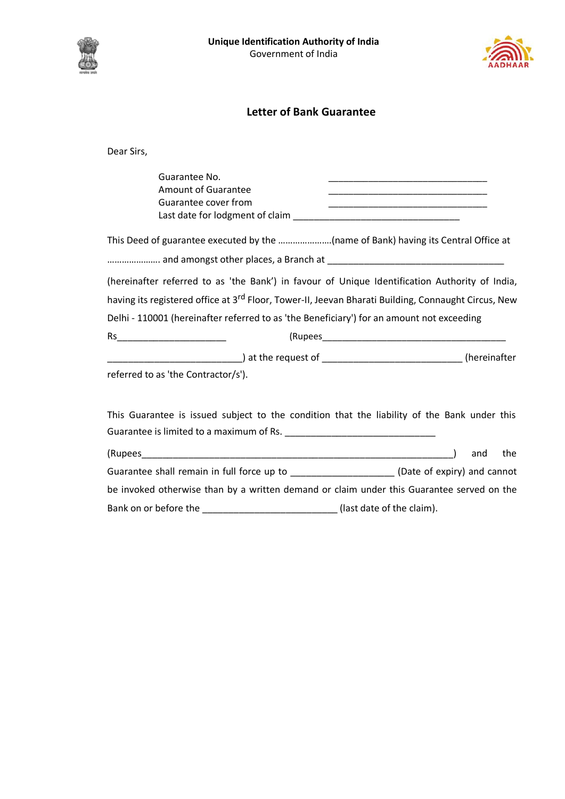



## **Letter of Bank Guarantee**

Dear Sirs,

| Guarantee No.<br><b>Amount of Guarantee</b><br>Guarantee cover from                                             | <u> 1989 - Johann John Stone, mars et al. 1989 - John Stone, mars et al. 1989 - John Stone, mars et al. 1989 - John Stone</u><br><u> 1989 - Johann Stoff, deutscher Stoffen und der Stoffen und der Stoffen und der Stoffen und der Stoffen und der</u><br><u> 1989 - Johann Barbara, martxa al III-lea (h. 1989).</u> |
|-----------------------------------------------------------------------------------------------------------------|------------------------------------------------------------------------------------------------------------------------------------------------------------------------------------------------------------------------------------------------------------------------------------------------------------------------|
| This Deed of guarantee executed by the (name of Bank) having its Central Office at                              |                                                                                                                                                                                                                                                                                                                        |
|                                                                                                                 |                                                                                                                                                                                                                                                                                                                        |
| (hereinafter referred to as 'the Bank') in favour of Unique Identification Authority of India,                  |                                                                                                                                                                                                                                                                                                                        |
| having its registered office at 3 <sup>rd</sup> Floor, Tower-II, Jeevan Bharati Building, Connaught Circus, New |                                                                                                                                                                                                                                                                                                                        |
| Delhi - 110001 (hereinafter referred to as 'the Beneficiary') for an amount not exceeding                       |                                                                                                                                                                                                                                                                                                                        |
|                                                                                                                 |                                                                                                                                                                                                                                                                                                                        |
|                                                                                                                 |                                                                                                                                                                                                                                                                                                                        |
| referred to as 'the Contractor/s').                                                                             |                                                                                                                                                                                                                                                                                                                        |
| This Guarantee is issued subject to the condition that the liability of the Bank under this                     |                                                                                                                                                                                                                                                                                                                        |
|                                                                                                                 | the<br>and                                                                                                                                                                                                                                                                                                             |
| Guarantee shall remain in full force up to ______________________(Date of expiry) and cannot                    |                                                                                                                                                                                                                                                                                                                        |
| be invoked otherwise than by a written demand or claim under this Guarantee served on the                       |                                                                                                                                                                                                                                                                                                                        |

Bank on or before the \_\_\_\_\_\_\_\_\_\_\_\_\_\_\_\_\_\_\_\_\_\_\_\_\_\_\_\_\_\_\_(last date of the claim).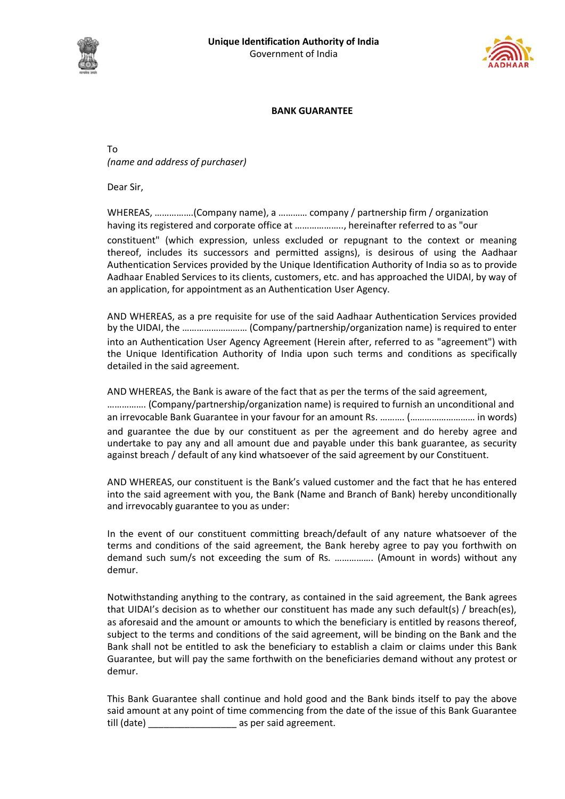



## **BANK GUARANTEE**

To *(name and address of purchaser)*

Dear Sir,

WHEREAS, …………….(Company name), a ………… company / partnership firm / organization having its registered and corporate office at ……………….., hereinafter referred to as "our constituent" (which expression, unless excluded or repugnant to the context or meaning thereof, includes its successors and permitted assigns), is desirous of using the Aadhaar Authentication Services provided by the Unique Identification Authority of India so as to provide Aadhaar Enabled Services to its clients, customers, etc. and has approached the UIDAI, by way of an application, for appointment as an Authentication User Agency.

AND WHEREAS, as a pre requisite for use of the said Aadhaar Authentication Services provided by the UIDAI, the ……………………… (Company/partnership/organization name) is required to enter into an Authentication User Agency Agreement (Herein after, referred to as "agreement") with the Unique Identification Authority of India upon such terms and conditions as specifically detailed in the said agreement.

AND WHEREAS, the Bank is aware of the fact that as per the terms of the said agreement, ……………. (Company/partnership/organization name) is required to furnish an unconditional and an irrevocable Bank Guarantee in your favour for an amount Rs. ………. (……………………… in words) and guarantee the due by our constituent as per the agreement and do hereby agree and undertake to pay any and all amount due and payable under this bank guarantee, as security against breach / default of any kind whatsoever of the said agreement by our Constituent.

AND WHEREAS, our constituent is the Bank's valued customer and the fact that he has entered into the said agreement with you, the Bank (Name and Branch of Bank) hereby unconditionally and irrevocably guarantee to you as under:

In the event of our constituent committing breach/default of any nature whatsoever of the terms and conditions of the said agreement, the Bank hereby agree to pay you forthwith on demand such sum/s not exceeding the sum of Rs. ……………. (Amount in words) without any demur.

Notwithstanding anything to the contrary, as contained in the said agreement, the Bank agrees that UIDAI's decision as to whether our constituent has made any such default(s) / breach(es), as aforesaid and the amount or amounts to which the beneficiary is entitled by reasons thereof, subject to the terms and conditions of the said agreement, will be binding on the Bank and the Bank shall not be entitled to ask the beneficiary to establish a claim or claims under this Bank Guarantee, but will pay the same forthwith on the beneficiaries demand without any protest or demur.

This Bank Guarantee shall continue and hold good and the Bank binds itself to pay the above said amount at any point of time commencing from the date of the issue of this Bank Guarantee till (date) example as per said agreement.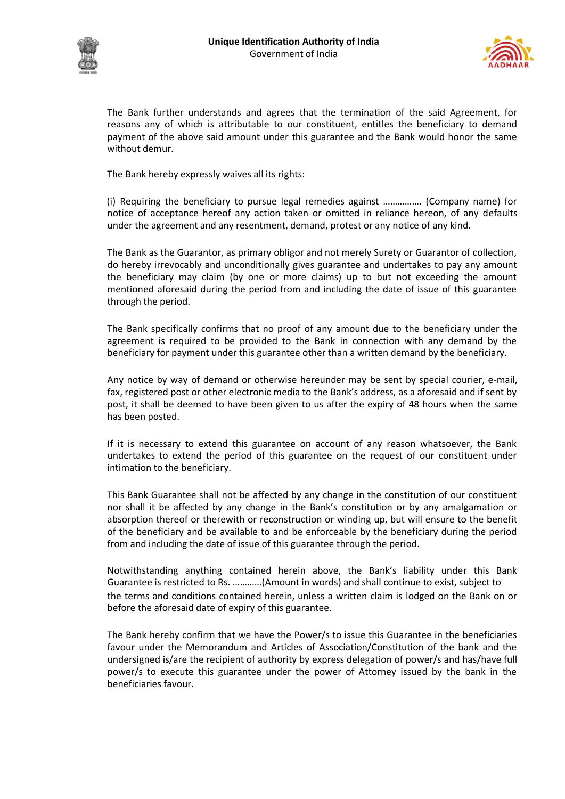



The Bank further understands and agrees that the termination of the said Agreement, for reasons any of which is attributable to our constituent, entitles the beneficiary to demand payment of the above said amount under this guarantee and the Bank would honor the same without demur.

The Bank hereby expressly waives all its rights:

(i) Requiring the beneficiary to pursue legal remedies against ……………. (Company name) for notice of acceptance hereof any action taken or omitted in reliance hereon, of any defaults under the agreement and any resentment, demand, protest or any notice of any kind.

The Bank as the Guarantor, as primary obligor and not merely Surety or Guarantor of collection, do hereby irrevocably and unconditionally gives guarantee and undertakes to pay any amount the beneficiary may claim (by one or more claims) up to but not exceeding the amount mentioned aforesaid during the period from and including the date of issue of this guarantee through the period.

The Bank specifically confirms that no proof of any amount due to the beneficiary under the agreement is required to be provided to the Bank in connection with any demand by the beneficiary for payment under this guarantee other than a written demand by the beneficiary.

Any notice by way of demand or otherwise hereunder may be sent by special courier, e-mail, fax, registered post or other electronic media to the Bank's address, as a aforesaid and if sent by post, it shall be deemed to have been given to us after the expiry of 48 hours when the same has been posted.

If it is necessary to extend this guarantee on account of any reason whatsoever, the Bank undertakes to extend the period of this guarantee on the request of our constituent under intimation to the beneficiary.

This Bank Guarantee shall not be affected by any change in the constitution of our constituent nor shall it be affected by any change in the Bank's constitution or by any amalgamation or absorption thereof or therewith or reconstruction or winding up, but will ensure to the benefit of the beneficiary and be available to and be enforceable by the beneficiary during the period from and including the date of issue of this guarantee through the period.

Notwithstanding anything contained herein above, the Bank's liability under this Bank Guarantee is restricted to Rs. …………(Amount in words) and shall continue to exist, subject to the terms and conditions contained herein, unless a written claim is lodged on the Bank on or before the aforesaid date of expiry of this guarantee.

The Bank hereby confirm that we have the Power/s to issue this Guarantee in the beneficiaries favour under the Memorandum and Articles of Association/Constitution of the bank and the undersigned is/are the recipient of authority by express delegation of power/s and has/have full power/s to execute this guarantee under the power of Attorney issued by the bank in the beneficiaries favour.